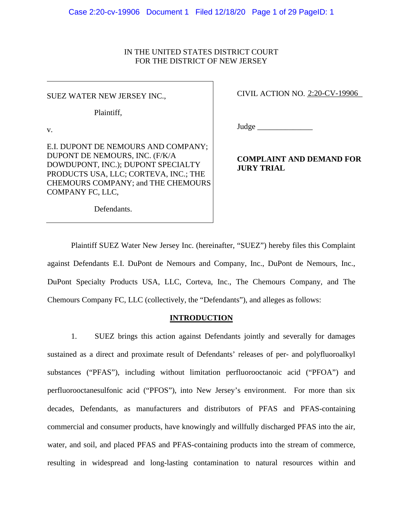## IN THE UNITED STATES DISTRICT COURT FOR THE DISTRICT OF NEW JERSEY

SUEZ WATER NEW JERSEY INC.,

Plaintiff,

v.

E.I. DUPONT DE NEMOURS AND COMPANY; DUPONT DE NEMOURS, INC. (F/K/A DOWDUPONT, INC.); DUPONT SPECIALTY PRODUCTS USA, LLC; CORTEVA, INC.; THE CHEMOURS COMPANY; and THE CHEMOURS COMPANY FC, LLC,

CIVIL ACTION NO. 2:20-CV-19906

Judge \_\_\_\_\_\_\_\_\_\_\_\_\_\_

**COMPLAINT AND DEMAND FOR JURY TRIAL** 

Defendants.

Plaintiff SUEZ Water New Jersey Inc. (hereinafter, "SUEZ") hereby files this Complaint against Defendants E.I. DuPont de Nemours and Company, Inc., DuPont de Nemours, Inc., DuPont Specialty Products USA, LLC, Corteva, Inc., The Chemours Company, and The Chemours Company FC, LLC (collectively, the "Defendants"), and alleges as follows:

## **INTRODUCTION**

1. SUEZ brings this action against Defendants jointly and severally for damages sustained as a direct and proximate result of Defendants' releases of per- and polyfluoroalkyl substances ("PFAS"), including without limitation perfluorooctanoic acid ("PFOA") and perfluorooctanesulfonic acid ("PFOS"), into New Jersey's environment. For more than six decades, Defendants, as manufacturers and distributors of PFAS and PFAS-containing commercial and consumer products, have knowingly and willfully discharged PFAS into the air, water, and soil, and placed PFAS and PFAS-containing products into the stream of commerce, resulting in widespread and long-lasting contamination to natural resources within and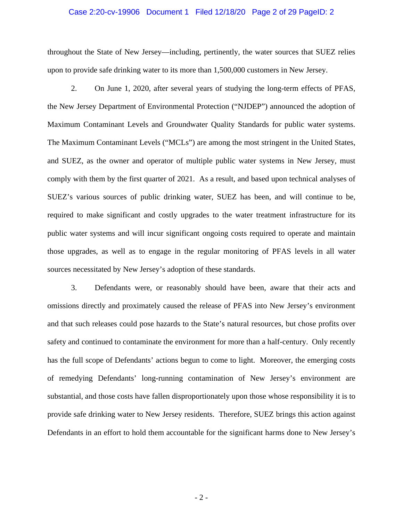## Case 2:20-cv-19906 Document 1 Filed 12/18/20 Page 2 of 29 PageID: 2

throughout the State of New Jersey—including, pertinently, the water sources that SUEZ relies upon to provide safe drinking water to its more than 1,500,000 customers in New Jersey.

2. On June 1, 2020, after several years of studying the long-term effects of PFAS, the New Jersey Department of Environmental Protection ("NJDEP") announced the adoption of Maximum Contaminant Levels and Groundwater Quality Standards for public water systems. The Maximum Contaminant Levels ("MCLs") are among the most stringent in the United States, and SUEZ, as the owner and operator of multiple public water systems in New Jersey, must comply with them by the first quarter of 2021. As a result, and based upon technical analyses of SUEZ's various sources of public drinking water, SUEZ has been, and will continue to be, required to make significant and costly upgrades to the water treatment infrastructure for its public water systems and will incur significant ongoing costs required to operate and maintain those upgrades, as well as to engage in the regular monitoring of PFAS levels in all water sources necessitated by New Jersey's adoption of these standards.

3. Defendants were, or reasonably should have been, aware that their acts and omissions directly and proximately caused the release of PFAS into New Jersey's environment and that such releases could pose hazards to the State's natural resources, but chose profits over safety and continued to contaminate the environment for more than a half-century. Only recently has the full scope of Defendants' actions begun to come to light. Moreover, the emerging costs of remedying Defendants' long-running contamination of New Jersey's environment are substantial, and those costs have fallen disproportionately upon those whose responsibility it is to provide safe drinking water to New Jersey residents. Therefore, SUEZ brings this action against Defendants in an effort to hold them accountable for the significant harms done to New Jersey's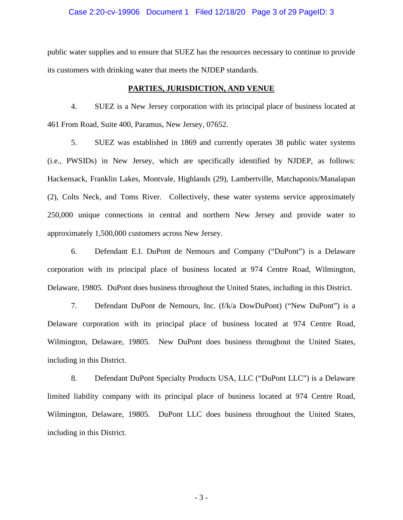### Case 2:20-cv-19906 Document 1 Filed 12/18/20 Page 3 of 29 PageID: 3

public water supplies and to ensure that SUEZ has the resources necessary to continue to provide its customers with drinking water that meets the NJDEP standards.

#### **PARTIES, JURISDICTION, AND VENUE**

4. SUEZ is a New Jersey corporation with its principal place of business located at 461 From Road, Suite 400, Paramus, New Jersey, 07652.

5. SUEZ was established in 1869 and currently operates 38 public water systems (i.e., PWSIDs) in New Jersey, which are specifically identified by NJDEP, as follows: Hackensack, Franklin Lakes, Montvale, Highlands (29), Lambertville, Matchaponix/Manalapan (2), Colts Neck, and Toms River. Collectively, these water systems service approximately 250,000 unique connections in central and northern New Jersey and provide water to approximately 1,500,000 customers across New Jersey.

6. Defendant E.I. DuPont de Nemours and Company ("DuPont") is a Delaware corporation with its principal place of business located at 974 Centre Road, Wilmington, Delaware, 19805. DuPont does business throughout the United States, including in this District.

7. Defendant DuPont de Nemours, Inc. (f/k/a DowDuPont) ("New DuPont") is a Delaware corporation with its principal place of business located at 974 Centre Road, Wilmington, Delaware, 19805. New DuPont does business throughout the United States, including in this District.

8. Defendant DuPont Specialty Products USA, LLC ("DuPont LLC") is a Delaware limited liability company with its principal place of business located at 974 Centre Road, Wilmington, Delaware, 19805. DuPont LLC does business throughout the United States, including in this District.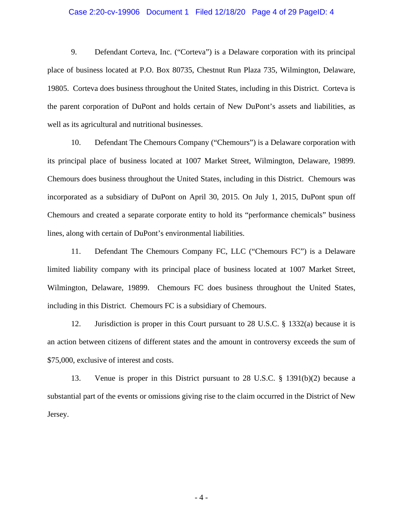## Case 2:20-cv-19906 Document 1 Filed 12/18/20 Page 4 of 29 PageID: 4

9. Defendant Corteva, Inc. ("Corteva") is a Delaware corporation with its principal place of business located at P.O. Box 80735, Chestnut Run Plaza 735, Wilmington, Delaware, 19805. Corteva does business throughout the United States, including in this District. Corteva is the parent corporation of DuPont and holds certain of New DuPont's assets and liabilities, as well as its agricultural and nutritional businesses.

10. Defendant The Chemours Company ("Chemours") is a Delaware corporation with its principal place of business located at 1007 Market Street, Wilmington, Delaware, 19899. Chemours does business throughout the United States, including in this District. Chemours was incorporated as a subsidiary of DuPont on April 30, 2015. On July 1, 2015, DuPont spun off Chemours and created a separate corporate entity to hold its "performance chemicals" business lines, along with certain of DuPont's environmental liabilities.

11. Defendant The Chemours Company FC, LLC ("Chemours FC") is a Delaware limited liability company with its principal place of business located at 1007 Market Street, Wilmington, Delaware, 19899. Chemours FC does business throughout the United States, including in this District. Chemours FC is a subsidiary of Chemours.

12. Jurisdiction is proper in this Court pursuant to 28 U.S.C. § 1332(a) because it is an action between citizens of different states and the amount in controversy exceeds the sum of \$75,000, exclusive of interest and costs.

13. Venue is proper in this District pursuant to 28 U.S.C. § 1391(b)(2) because a substantial part of the events or omissions giving rise to the claim occurred in the District of New Jersey.

- 4 -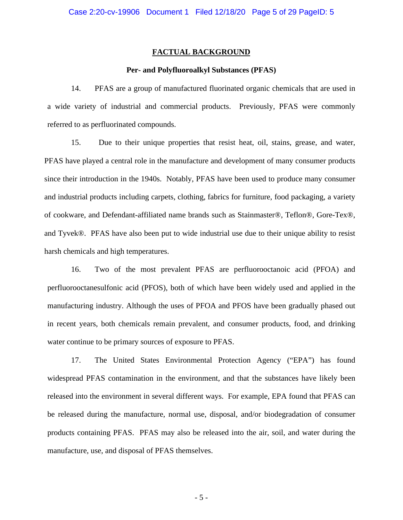#### **FACTUAL BACKGROUND**

## **Per- and Polyfluoroalkyl Substances (PFAS)**

14. PFAS are a group of manufactured fluorinated organic chemicals that are used in a wide variety of industrial and commercial products. Previously, PFAS were commonly referred to as perfluorinated compounds.

15. Due to their unique properties that resist heat, oil, stains, grease, and water, PFAS have played a central role in the manufacture and development of many consumer products since their introduction in the 1940s. Notably, PFAS have been used to produce many consumer and industrial products including carpets, clothing, fabrics for furniture, food packaging, a variety of cookware, and Defendant-affiliated name brands such as Stainmaster®, Teflon®, Gore-Tex®, and Tyvek®. PFAS have also been put to wide industrial use due to their unique ability to resist harsh chemicals and high temperatures.

16. Two of the most prevalent PFAS are perfluorooctanoic acid (PFOA) and perfluorooctanesulfonic acid (PFOS), both of which have been widely used and applied in the manufacturing industry. Although the uses of PFOA and PFOS have been gradually phased out in recent years, both chemicals remain prevalent, and consumer products, food, and drinking water continue to be primary sources of exposure to PFAS.

17. The United States Environmental Protection Agency ("EPA") has found widespread PFAS contamination in the environment, and that the substances have likely been released into the environment in several different ways. For example, EPA found that PFAS can be released during the manufacture, normal use, disposal, and/or biodegradation of consumer products containing PFAS. PFAS may also be released into the air, soil, and water during the manufacture, use, and disposal of PFAS themselves.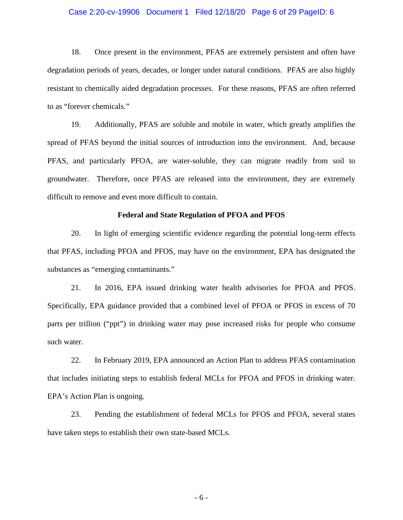## Case 2:20-cv-19906 Document 1 Filed 12/18/20 Page 6 of 29 PageID: 6

18. Once present in the environment, PFAS are extremely persistent and often have degradation periods of years, decades, or longer under natural conditions. PFAS are also highly resistant to chemically aided degradation processes. For these reasons, PFAS are often referred to as "forever chemicals."

19. Additionally, PFAS are soluble and mobile in water, which greatly amplifies the spread of PFAS beyond the initial sources of introduction into the environment. And, because PFAS, and particularly PFOA, are water-soluble, they can migrate readily from soil to groundwater. Therefore, once PFAS are released into the environment, they are extremely difficult to remove and even more difficult to contain.

## **Federal and State Regulation of PFOA and PFOS**

20. In light of emerging scientific evidence regarding the potential long-term effects that PFAS, including PFOA and PFOS, may have on the environment, EPA has designated the substances as "emerging contaminants."

21. In 2016, EPA issued drinking water health advisories for PFOA and PFOS. Specifically, EPA guidance provided that a combined level of PFOA or PFOS in excess of 70 parts per trillion ("ppt") in drinking water may pose increased risks for people who consume such water.

22. In February 2019, EPA announced an Action Plan to address PFAS contamination that includes initiating steps to establish federal MCLs for PFOA and PFOS in drinking water. EPA's Action Plan is ongoing.

23. Pending the establishment of federal MCLs for PFOS and PFOA, several states have taken steps to establish their own state-based MCLs.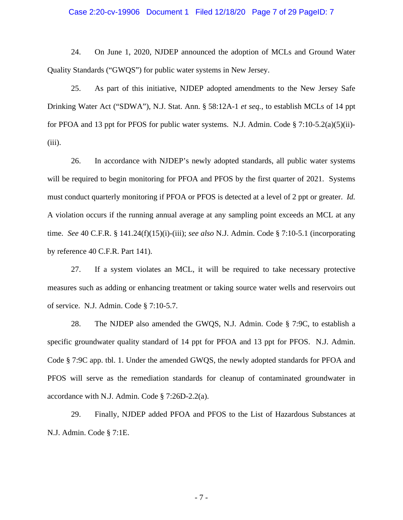## Case 2:20-cv-19906 Document 1 Filed 12/18/20 Page 7 of 29 PageID: 7

24. On June 1, 2020, NJDEP announced the adoption of MCLs and Ground Water Quality Standards ("GWQS") for public water systems in New Jersey.

25. As part of this initiative, NJDEP adopted amendments to the New Jersey Safe Drinking Water Act ("SDWA"), N.J. Stat. Ann. § 58:12A-1 *et seq.*, to establish MCLs of 14 ppt for PFOA and 13 ppt for PFOS for public water systems. N.J. Admin. Code  $\S$  7:10-5.2(a)(5)(ii)- $(iii)$ .

26. In accordance with NJDEP's newly adopted standards, all public water systems will be required to begin monitoring for PFOA and PFOS by the first quarter of 2021. Systems must conduct quarterly monitoring if PFOA or PFOS is detected at a level of 2 ppt or greater. *Id.* A violation occurs if the running annual average at any sampling point exceeds an MCL at any time. *See* 40 C.F.R. § 141.24(f)(15)(i)-(iii); *see also* N.J. Admin. Code § 7:10-5.1 (incorporating by reference 40 C.F.R. Part 141).

27. If a system violates an MCL, it will be required to take necessary protective measures such as adding or enhancing treatment or taking source water wells and reservoirs out of service. N.J. Admin. Code § 7:10-5.7.

28. The NJDEP also amended the GWQS, N.J. Admin. Code § 7:9C, to establish a specific groundwater quality standard of 14 ppt for PFOA and 13 ppt for PFOS. N.J. Admin. Code § 7:9C app. tbl. 1. Under the amended GWQS, the newly adopted standards for PFOA and PFOS will serve as the remediation standards for cleanup of contaminated groundwater in accordance with N.J. Admin. Code § 7:26D-2.2(a).

29. Finally, NJDEP added PFOA and PFOS to the List of Hazardous Substances at N.J. Admin. Code § 7:1E.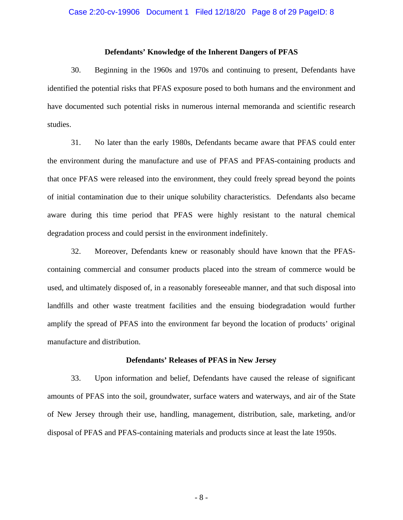## **Defendants' Knowledge of the Inherent Dangers of PFAS**

30. Beginning in the 1960s and 1970s and continuing to present, Defendants have identified the potential risks that PFAS exposure posed to both humans and the environment and have documented such potential risks in numerous internal memoranda and scientific research studies.

31. No later than the early 1980s, Defendants became aware that PFAS could enter the environment during the manufacture and use of PFAS and PFAS-containing products and that once PFAS were released into the environment, they could freely spread beyond the points of initial contamination due to their unique solubility characteristics. Defendants also became aware during this time period that PFAS were highly resistant to the natural chemical degradation process and could persist in the environment indefinitely.

32. Moreover, Defendants knew or reasonably should have known that the PFAScontaining commercial and consumer products placed into the stream of commerce would be used, and ultimately disposed of, in a reasonably foreseeable manner, and that such disposal into landfills and other waste treatment facilities and the ensuing biodegradation would further amplify the spread of PFAS into the environment far beyond the location of products' original manufacture and distribution.

#### **Defendants' Releases of PFAS in New Jersey**

33. Upon information and belief, Defendants have caused the release of significant amounts of PFAS into the soil, groundwater, surface waters and waterways, and air of the State of New Jersey through their use, handling, management, distribution, sale, marketing, and/or disposal of PFAS and PFAS-containing materials and products since at least the late 1950s.

- 8 -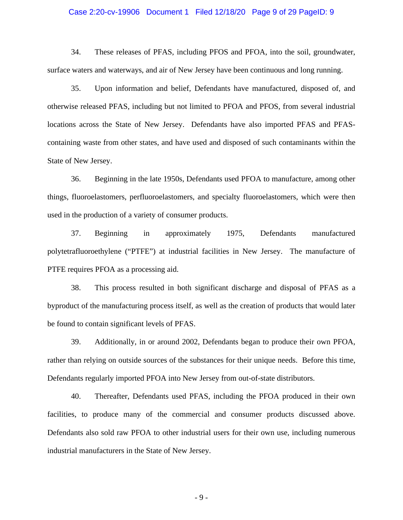## Case 2:20-cv-19906 Document 1 Filed 12/18/20 Page 9 of 29 PageID: 9

34. These releases of PFAS, including PFOS and PFOA, into the soil, groundwater, surface waters and waterways, and air of New Jersey have been continuous and long running.

35. Upon information and belief, Defendants have manufactured, disposed of, and otherwise released PFAS, including but not limited to PFOA and PFOS, from several industrial locations across the State of New Jersey. Defendants have also imported PFAS and PFAScontaining waste from other states, and have used and disposed of such contaminants within the State of New Jersey.

36. Beginning in the late 1950s, Defendants used PFOA to manufacture, among other things, fluoroelastomers, perfluoroelastomers, and specialty fluoroelastomers, which were then used in the production of a variety of consumer products.

37. Beginning in approximately 1975, Defendants manufactured polytetrafluoroethylene ("PTFE") at industrial facilities in New Jersey. The manufacture of PTFE requires PFOA as a processing aid.

38. This process resulted in both significant discharge and disposal of PFAS as a byproduct of the manufacturing process itself, as well as the creation of products that would later be found to contain significant levels of PFAS.

39. Additionally, in or around 2002, Defendants began to produce their own PFOA, rather than relying on outside sources of the substances for their unique needs. Before this time, Defendants regularly imported PFOA into New Jersey from out-of-state distributors.

40. Thereafter, Defendants used PFAS, including the PFOA produced in their own facilities, to produce many of the commercial and consumer products discussed above. Defendants also sold raw PFOA to other industrial users for their own use, including numerous industrial manufacturers in the State of New Jersey.

- 9 -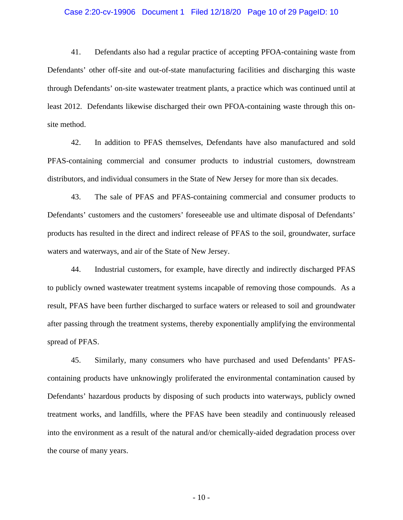## Case 2:20-cv-19906 Document 1 Filed 12/18/20 Page 10 of 29 PageID: 10

41. Defendants also had a regular practice of accepting PFOA-containing waste from Defendants' other off-site and out-of-state manufacturing facilities and discharging this waste through Defendants' on-site wastewater treatment plants, a practice which was continued until at least 2012. Defendants likewise discharged their own PFOA-containing waste through this onsite method.

42. In addition to PFAS themselves, Defendants have also manufactured and sold PFAS-containing commercial and consumer products to industrial customers, downstream distributors, and individual consumers in the State of New Jersey for more than six decades.

43. The sale of PFAS and PFAS-containing commercial and consumer products to Defendants' customers and the customers' foreseeable use and ultimate disposal of Defendants' products has resulted in the direct and indirect release of PFAS to the soil, groundwater, surface waters and waterways, and air of the State of New Jersey.

44. Industrial customers, for example, have directly and indirectly discharged PFAS to publicly owned wastewater treatment systems incapable of removing those compounds. As a result, PFAS have been further discharged to surface waters or released to soil and groundwater after passing through the treatment systems, thereby exponentially amplifying the environmental spread of PFAS.

45. Similarly, many consumers who have purchased and used Defendants' PFAScontaining products have unknowingly proliferated the environmental contamination caused by Defendants' hazardous products by disposing of such products into waterways, publicly owned treatment works, and landfills, where the PFAS have been steadily and continuously released into the environment as a result of the natural and/or chemically-aided degradation process over the course of many years.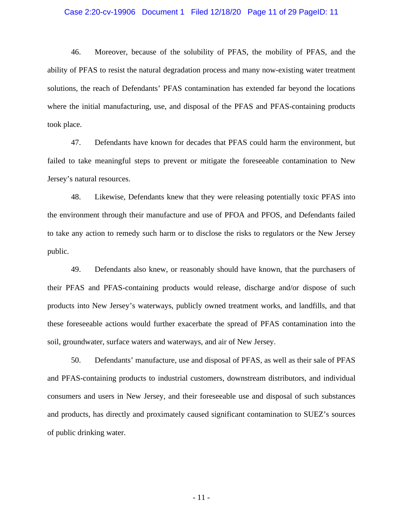## Case 2:20-cv-19906 Document 1 Filed 12/18/20 Page 11 of 29 PageID: 11

46. Moreover, because of the solubility of PFAS, the mobility of PFAS, and the ability of PFAS to resist the natural degradation process and many now-existing water treatment solutions, the reach of Defendants' PFAS contamination has extended far beyond the locations where the initial manufacturing, use, and disposal of the PFAS and PFAS-containing products took place.

47. Defendants have known for decades that PFAS could harm the environment, but failed to take meaningful steps to prevent or mitigate the foreseeable contamination to New Jersey's natural resources.

48. Likewise, Defendants knew that they were releasing potentially toxic PFAS into the environment through their manufacture and use of PFOA and PFOS, and Defendants failed to take any action to remedy such harm or to disclose the risks to regulators or the New Jersey public.

49. Defendants also knew, or reasonably should have known, that the purchasers of their PFAS and PFAS-containing products would release, discharge and/or dispose of such products into New Jersey's waterways, publicly owned treatment works, and landfills, and that these foreseeable actions would further exacerbate the spread of PFAS contamination into the soil, groundwater, surface waters and waterways, and air of New Jersey.

50. Defendants' manufacture, use and disposal of PFAS, as well as their sale of PFAS and PFAS-containing products to industrial customers, downstream distributors, and individual consumers and users in New Jersey, and their foreseeable use and disposal of such substances and products, has directly and proximately caused significant contamination to SUEZ's sources of public drinking water.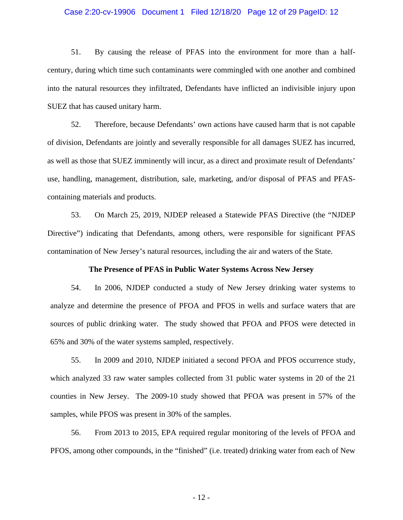## Case 2:20-cv-19906 Document 1 Filed 12/18/20 Page 12 of 29 PageID: 12

51. By causing the release of PFAS into the environment for more than a halfcentury, during which time such contaminants were commingled with one another and combined into the natural resources they infiltrated, Defendants have inflicted an indivisible injury upon SUEZ that has caused unitary harm.

52. Therefore, because Defendants' own actions have caused harm that is not capable of division, Defendants are jointly and severally responsible for all damages SUEZ has incurred, as well as those that SUEZ imminently will incur, as a direct and proximate result of Defendants' use, handling, management, distribution, sale, marketing, and/or disposal of PFAS and PFAScontaining materials and products.

53. On March 25, 2019, NJDEP released a Statewide PFAS Directive (the "NJDEP Directive") indicating that Defendants, among others, were responsible for significant PFAS contamination of New Jersey's natural resources, including the air and waters of the State.

#### **The Presence of PFAS in Public Water Systems Across New Jersey**

54. In 2006, NJDEP conducted a study of New Jersey drinking water systems to analyze and determine the presence of PFOA and PFOS in wells and surface waters that are sources of public drinking water. The study showed that PFOA and PFOS were detected in 65% and 30% of the water systems sampled, respectively.

55. In 2009 and 2010, NJDEP initiated a second PFOA and PFOS occurrence study, which analyzed 33 raw water samples collected from 31 public water systems in 20 of the 21 counties in New Jersey. The 2009-10 study showed that PFOA was present in 57% of the samples, while PFOS was present in 30% of the samples.

56. From 2013 to 2015, EPA required regular monitoring of the levels of PFOA and PFOS, among other compounds, in the "finished" (i.e. treated) drinking water from each of New

- 12 -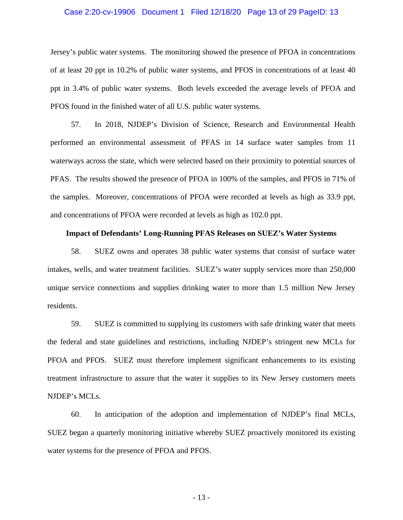## Case 2:20-cv-19906 Document 1 Filed 12/18/20 Page 13 of 29 PageID: 13

Jersey's public water systems. The monitoring showed the presence of PFOA in concentrations of at least 20 ppt in 10.2% of public water systems, and PFOS in concentrations of at least 40 ppt in 3.4% of public water systems. Both levels exceeded the average levels of PFOA and PFOS found in the finished water of all U.S. public water systems.

57. In 2018, NJDEP's Division of Science, Research and Environmental Health performed an environmental assessment of PFAS in 14 surface water samples from 11 waterways across the state, which were selected based on their proximity to potential sources of PFAS. The results showed the presence of PFOA in 100% of the samples, and PFOS in 71% of the samples. Moreover, concentrations of PFOA were recorded at levels as high as 33.9 ppt, and concentrations of PFOA were recorded at levels as high as 102.0 ppt.

## **Impact of Defendants' Long-Running PFAS Releases on SUEZ's Water Systems**

58. SUEZ owns and operates 38 public water systems that consist of surface water intakes, wells, and water treatment facilities. SUEZ's water supply services more than 250,000 unique service connections and supplies drinking water to more than 1.5 million New Jersey residents.

59. SUEZ is committed to supplying its customers with safe drinking water that meets the federal and state guidelines and restrictions, including NJDEP's stringent new MCLs for PFOA and PFOS. SUEZ must therefore implement significant enhancements to its existing treatment infrastructure to assure that the water it supplies to its New Jersey customers meets NJDEP's MCLs.

60. In anticipation of the adoption and implementation of NJDEP's final MCLs, SUEZ began a quarterly monitoring initiative whereby SUEZ proactively monitored its existing water systems for the presence of PFOA and PFOS.

- 13 -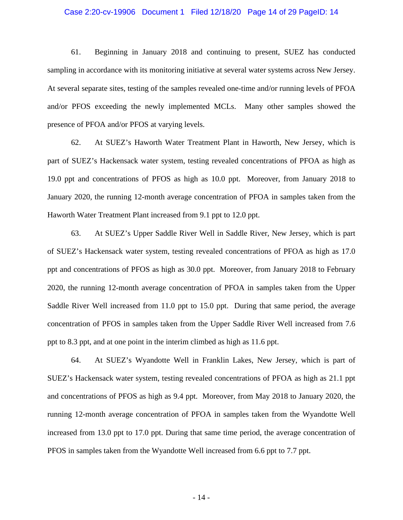## Case 2:20-cv-19906 Document 1 Filed 12/18/20 Page 14 of 29 PageID: 14

61. Beginning in January 2018 and continuing to present, SUEZ has conducted sampling in accordance with its monitoring initiative at several water systems across New Jersey. At several separate sites, testing of the samples revealed one-time and/or running levels of PFOA and/or PFOS exceeding the newly implemented MCLs. Many other samples showed the presence of PFOA and/or PFOS at varying levels.

62. At SUEZ's Haworth Water Treatment Plant in Haworth, New Jersey, which is part of SUEZ's Hackensack water system, testing revealed concentrations of PFOA as high as 19.0 ppt and concentrations of PFOS as high as 10.0 ppt. Moreover, from January 2018 to January 2020, the running 12-month average concentration of PFOA in samples taken from the Haworth Water Treatment Plant increased from 9.1 ppt to 12.0 ppt.

63. At SUEZ's Upper Saddle River Well in Saddle River, New Jersey, which is part of SUEZ's Hackensack water system, testing revealed concentrations of PFOA as high as 17.0 ppt and concentrations of PFOS as high as 30.0 ppt. Moreover, from January 2018 to February 2020, the running 12-month average concentration of PFOA in samples taken from the Upper Saddle River Well increased from 11.0 ppt to 15.0 ppt. During that same period, the average concentration of PFOS in samples taken from the Upper Saddle River Well increased from 7.6 ppt to 8.3 ppt, and at one point in the interim climbed as high as 11.6 ppt.

64. At SUEZ's Wyandotte Well in Franklin Lakes, New Jersey, which is part of SUEZ's Hackensack water system, testing revealed concentrations of PFOA as high as 21.1 ppt and concentrations of PFOS as high as 9.4 ppt. Moreover, from May 2018 to January 2020, the running 12-month average concentration of PFOA in samples taken from the Wyandotte Well increased from 13.0 ppt to 17.0 ppt. During that same time period, the average concentration of PFOS in samples taken from the Wyandotte Well increased from 6.6 ppt to 7.7 ppt.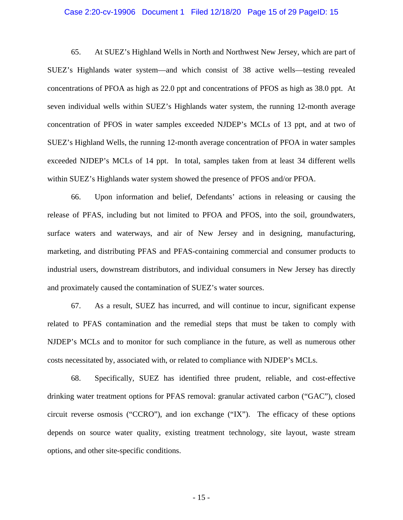## Case 2:20-cv-19906 Document 1 Filed 12/18/20 Page 15 of 29 PageID: 15

65. At SUEZ's Highland Wells in North and Northwest New Jersey, which are part of SUEZ's Highlands water system—and which consist of 38 active wells—testing revealed concentrations of PFOA as high as 22.0 ppt and concentrations of PFOS as high as 38.0 ppt. At seven individual wells within SUEZ's Highlands water system, the running 12-month average concentration of PFOS in water samples exceeded NJDEP's MCLs of 13 ppt, and at two of SUEZ's Highland Wells, the running 12-month average concentration of PFOA in water samples exceeded NJDEP's MCLs of 14 ppt. In total, samples taken from at least 34 different wells within SUEZ's Highlands water system showed the presence of PFOS and/or PFOA.

66. Upon information and belief, Defendants' actions in releasing or causing the release of PFAS, including but not limited to PFOA and PFOS, into the soil, groundwaters, surface waters and waterways, and air of New Jersey and in designing, manufacturing, marketing, and distributing PFAS and PFAS-containing commercial and consumer products to industrial users, downstream distributors, and individual consumers in New Jersey has directly and proximately caused the contamination of SUEZ's water sources.

67. As a result, SUEZ has incurred, and will continue to incur, significant expense related to PFAS contamination and the remedial steps that must be taken to comply with NJDEP's MCLs and to monitor for such compliance in the future, as well as numerous other costs necessitated by, associated with, or related to compliance with NJDEP's MCLs.

68. Specifically, SUEZ has identified three prudent, reliable, and cost-effective drinking water treatment options for PFAS removal: granular activated carbon ("GAC"), closed circuit reverse osmosis ("CCRO"), and ion exchange ("IX"). The efficacy of these options depends on source water quality, existing treatment technology, site layout, waste stream options, and other site-specific conditions.

- 15 -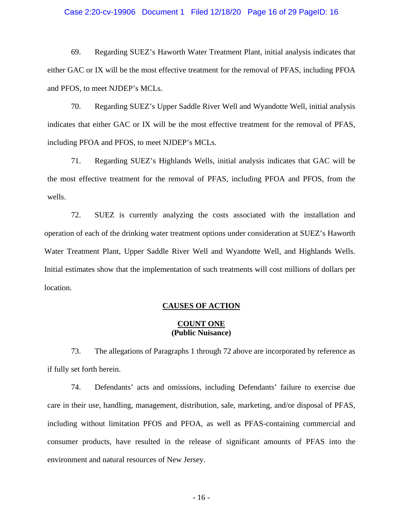## Case 2:20-cv-19906 Document 1 Filed 12/18/20 Page 16 of 29 PageID: 16

69. Regarding SUEZ's Haworth Water Treatment Plant, initial analysis indicates that either GAC or IX will be the most effective treatment for the removal of PFAS, including PFOA and PFOS, to meet NJDEP's MCLs.

70. Regarding SUEZ's Upper Saddle River Well and Wyandotte Well, initial analysis indicates that either GAC or IX will be the most effective treatment for the removal of PFAS, including PFOA and PFOS, to meet NJDEP's MCLs.

71. Regarding SUEZ's Highlands Wells, initial analysis indicates that GAC will be the most effective treatment for the removal of PFAS, including PFOA and PFOS, from the wells.

72. SUEZ is currently analyzing the costs associated with the installation and operation of each of the drinking water treatment options under consideration at SUEZ's Haworth Water Treatment Plant, Upper Saddle River Well and Wyandotte Well, and Highlands Wells. Initial estimates show that the implementation of such treatments will cost millions of dollars per location.

## **CAUSES OF ACTION**

## **COUNT ONE (Public Nuisance)**

73. The allegations of Paragraphs 1 through 72 above are incorporated by reference as if fully set forth herein.

74. Defendants' acts and omissions, including Defendants' failure to exercise due care in their use, handling, management, distribution, sale, marketing, and/or disposal of PFAS, including without limitation PFOS and PFOA, as well as PFAS-containing commercial and consumer products, have resulted in the release of significant amounts of PFAS into the environment and natural resources of New Jersey.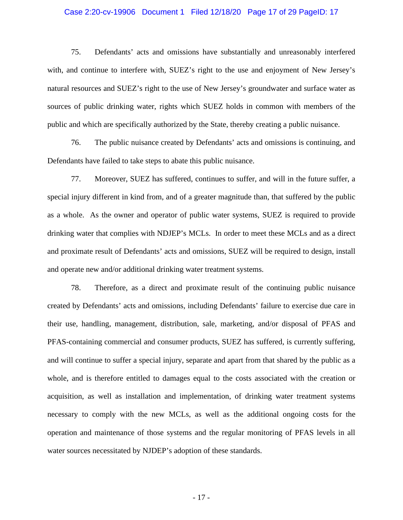## Case 2:20-cv-19906 Document 1 Filed 12/18/20 Page 17 of 29 PageID: 17

75. Defendants' acts and omissions have substantially and unreasonably interfered with, and continue to interfere with, SUEZ's right to the use and enjoyment of New Jersey's natural resources and SUEZ's right to the use of New Jersey's groundwater and surface water as sources of public drinking water, rights which SUEZ holds in common with members of the public and which are specifically authorized by the State, thereby creating a public nuisance.

76. The public nuisance created by Defendants' acts and omissions is continuing, and Defendants have failed to take steps to abate this public nuisance.

77. Moreover, SUEZ has suffered, continues to suffer, and will in the future suffer, a special injury different in kind from, and of a greater magnitude than, that suffered by the public as a whole. As the owner and operator of public water systems, SUEZ is required to provide drinking water that complies with NDJEP's MCLs. In order to meet these MCLs and as a direct and proximate result of Defendants' acts and omissions, SUEZ will be required to design, install and operate new and/or additional drinking water treatment systems.

78. Therefore, as a direct and proximate result of the continuing public nuisance created by Defendants' acts and omissions, including Defendants' failure to exercise due care in their use, handling, management, distribution, sale, marketing, and/or disposal of PFAS and PFAS-containing commercial and consumer products, SUEZ has suffered, is currently suffering, and will continue to suffer a special injury, separate and apart from that shared by the public as a whole, and is therefore entitled to damages equal to the costs associated with the creation or acquisition, as well as installation and implementation, of drinking water treatment systems necessary to comply with the new MCLs, as well as the additional ongoing costs for the operation and maintenance of those systems and the regular monitoring of PFAS levels in all water sources necessitated by NJDEP's adoption of these standards.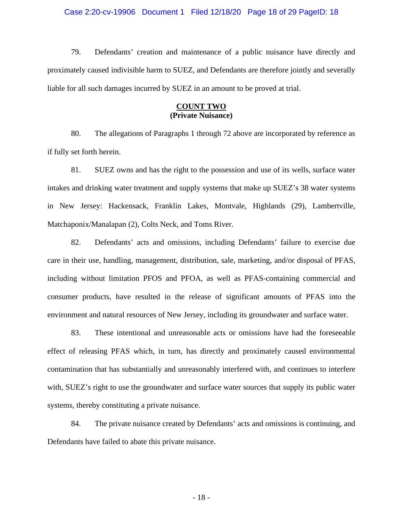## Case 2:20-cv-19906 Document 1 Filed 12/18/20 Page 18 of 29 PageID: 18

79. Defendants' creation and maintenance of a public nuisance have directly and proximately caused indivisible harm to SUEZ, and Defendants are therefore jointly and severally liable for all such damages incurred by SUEZ in an amount to be proved at trial.

## **COUNT TWO (Private Nuisance)**

80. The allegations of Paragraphs 1 through 72 above are incorporated by reference as if fully set forth herein.

81. SUEZ owns and has the right to the possession and use of its wells, surface water intakes and drinking water treatment and supply systems that make up SUEZ's 38 water systems in New Jersey: Hackensack, Franklin Lakes, Montvale, Highlands (29), Lambertville, Matchaponix/Manalapan (2), Colts Neck, and Toms River.

82. Defendants' acts and omissions, including Defendants' failure to exercise due care in their use, handling, management, distribution, sale, marketing, and/or disposal of PFAS, including without limitation PFOS and PFOA, as well as PFAS-containing commercial and consumer products, have resulted in the release of significant amounts of PFAS into the environment and natural resources of New Jersey, including its groundwater and surface water.

83. These intentional and unreasonable acts or omissions have had the foreseeable effect of releasing PFAS which, in turn, has directly and proximately caused environmental contamination that has substantially and unreasonably interfered with, and continues to interfere with, SUEZ's right to use the groundwater and surface water sources that supply its public water systems, thereby constituting a private nuisance.

84. The private nuisance created by Defendants' acts and omissions is continuing, and Defendants have failed to abate this private nuisance.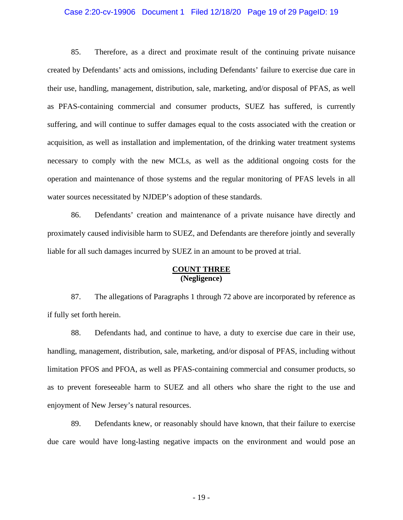## Case 2:20-cv-19906 Document 1 Filed 12/18/20 Page 19 of 29 PageID: 19

85. Therefore, as a direct and proximate result of the continuing private nuisance created by Defendants' acts and omissions, including Defendants' failure to exercise due care in their use, handling, management, distribution, sale, marketing, and/or disposal of PFAS, as well as PFAS-containing commercial and consumer products, SUEZ has suffered, is currently suffering, and will continue to suffer damages equal to the costs associated with the creation or acquisition, as well as installation and implementation, of the drinking water treatment systems necessary to comply with the new MCLs, as well as the additional ongoing costs for the operation and maintenance of those systems and the regular monitoring of PFAS levels in all water sources necessitated by NJDEP's adoption of these standards.

86. Defendants' creation and maintenance of a private nuisance have directly and proximately caused indivisible harm to SUEZ, and Defendants are therefore jointly and severally liable for all such damages incurred by SUEZ in an amount to be proved at trial.

## **COUNT THREE (Negligence)**

87. The allegations of Paragraphs 1 through 72 above are incorporated by reference as if fully set forth herein.

88. Defendants had, and continue to have, a duty to exercise due care in their use, handling, management, distribution, sale, marketing, and/or disposal of PFAS, including without limitation PFOS and PFOA, as well as PFAS-containing commercial and consumer products, so as to prevent foreseeable harm to SUEZ and all others who share the right to the use and enjoyment of New Jersey's natural resources.

89. Defendants knew, or reasonably should have known, that their failure to exercise due care would have long-lasting negative impacts on the environment and would pose an

- 19 -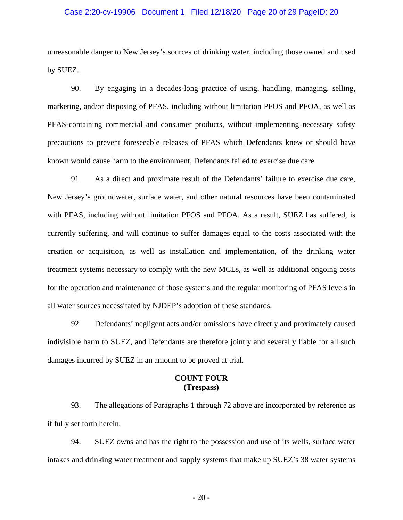## Case 2:20-cv-19906 Document 1 Filed 12/18/20 Page 20 of 29 PageID: 20

unreasonable danger to New Jersey's sources of drinking water, including those owned and used by SUEZ.

90. By engaging in a decades-long practice of using, handling, managing, selling, marketing, and/or disposing of PFAS, including without limitation PFOS and PFOA, as well as PFAS-containing commercial and consumer products, without implementing necessary safety precautions to prevent foreseeable releases of PFAS which Defendants knew or should have known would cause harm to the environment, Defendants failed to exercise due care.

91. As a direct and proximate result of the Defendants' failure to exercise due care, New Jersey's groundwater, surface water, and other natural resources have been contaminated with PFAS, including without limitation PFOS and PFOA. As a result, SUEZ has suffered, is currently suffering, and will continue to suffer damages equal to the costs associated with the creation or acquisition, as well as installation and implementation, of the drinking water treatment systems necessary to comply with the new MCLs, as well as additional ongoing costs for the operation and maintenance of those systems and the regular monitoring of PFAS levels in all water sources necessitated by NJDEP's adoption of these standards.

92. Defendants' negligent acts and/or omissions have directly and proximately caused indivisible harm to SUEZ, and Defendants are therefore jointly and severally liable for all such damages incurred by SUEZ in an amount to be proved at trial.

## **COUNT FOUR (Trespass)**

93. The allegations of Paragraphs 1 through 72 above are incorporated by reference as if fully set forth herein.

94. SUEZ owns and has the right to the possession and use of its wells, surface water intakes and drinking water treatment and supply systems that make up SUEZ's 38 water systems

- 20 -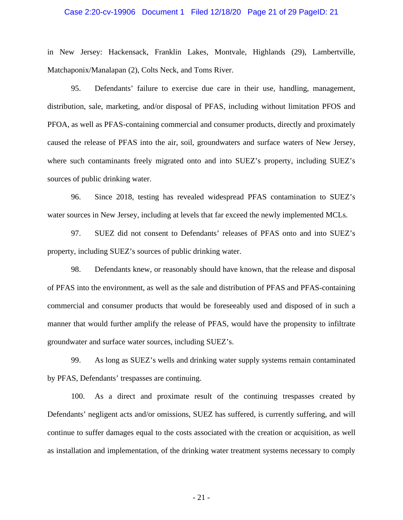## Case 2:20-cv-19906 Document 1 Filed 12/18/20 Page 21 of 29 PageID: 21

in New Jersey: Hackensack, Franklin Lakes, Montvale, Highlands (29), Lambertville, Matchaponix/Manalapan (2), Colts Neck, and Toms River.

95. Defendants' failure to exercise due care in their use, handling, management, distribution, sale, marketing, and/or disposal of PFAS, including without limitation PFOS and PFOA, as well as PFAS-containing commercial and consumer products, directly and proximately caused the release of PFAS into the air, soil, groundwaters and surface waters of New Jersey, where such contaminants freely migrated onto and into SUEZ's property, including SUEZ's sources of public drinking water.

96. Since 2018, testing has revealed widespread PFAS contamination to SUEZ's water sources in New Jersey, including at levels that far exceed the newly implemented MCLs.

97. SUEZ did not consent to Defendants' releases of PFAS onto and into SUEZ's property, including SUEZ's sources of public drinking water.

98. Defendants knew, or reasonably should have known, that the release and disposal of PFAS into the environment, as well as the sale and distribution of PFAS and PFAS-containing commercial and consumer products that would be foreseeably used and disposed of in such a manner that would further amplify the release of PFAS, would have the propensity to infiltrate groundwater and surface water sources, including SUEZ's.

99. As long as SUEZ's wells and drinking water supply systems remain contaminated by PFAS, Defendants' trespasses are continuing.

100. As a direct and proximate result of the continuing trespasses created by Defendants' negligent acts and/or omissions, SUEZ has suffered, is currently suffering, and will continue to suffer damages equal to the costs associated with the creation or acquisition, as well as installation and implementation, of the drinking water treatment systems necessary to comply

- 21 -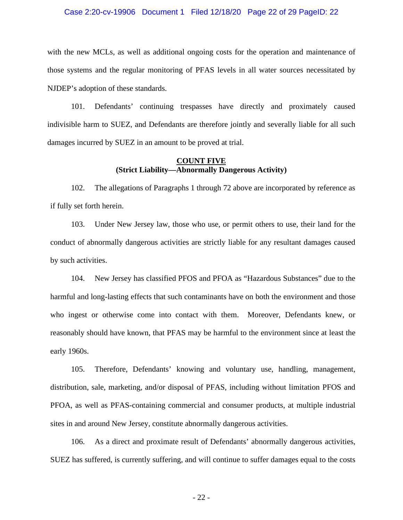### Case 2:20-cv-19906 Document 1 Filed 12/18/20 Page 22 of 29 PageID: 22

with the new MCLs, as well as additional ongoing costs for the operation and maintenance of those systems and the regular monitoring of PFAS levels in all water sources necessitated by NJDEP's adoption of these standards.

101. Defendants' continuing trespasses have directly and proximately caused indivisible harm to SUEZ, and Defendants are therefore jointly and severally liable for all such damages incurred by SUEZ in an amount to be proved at trial.

## **COUNT FIVE (Strict Liability—Abnormally Dangerous Activity)**

102. The allegations of Paragraphs 1 through 72 above are incorporated by reference as if fully set forth herein.

103. Under New Jersey law, those who use, or permit others to use, their land for the conduct of abnormally dangerous activities are strictly liable for any resultant damages caused by such activities.

104. New Jersey has classified PFOS and PFOA as "Hazardous Substances" due to the harmful and long-lasting effects that such contaminants have on both the environment and those who ingest or otherwise come into contact with them. Moreover, Defendants knew, or reasonably should have known, that PFAS may be harmful to the environment since at least the early 1960s.

105. Therefore, Defendants' knowing and voluntary use, handling, management, distribution, sale, marketing, and/or disposal of PFAS, including without limitation PFOS and PFOA, as well as PFAS-containing commercial and consumer products, at multiple industrial sites in and around New Jersey, constitute abnormally dangerous activities.

106. As a direct and proximate result of Defendants' abnormally dangerous activities, SUEZ has suffered, is currently suffering, and will continue to suffer damages equal to the costs

- 22 -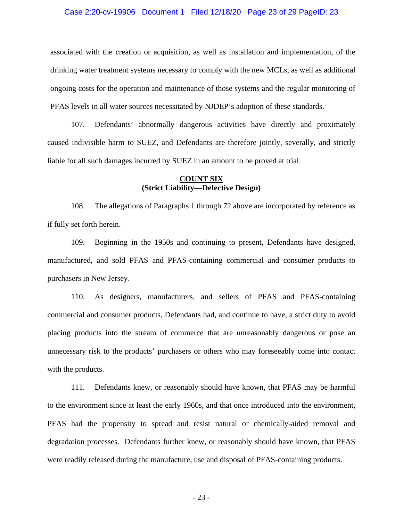## Case 2:20-cv-19906 Document 1 Filed 12/18/20 Page 23 of 29 PageID: 23

associated with the creation or acquisition, as well as installation and implementation, of the drinking water treatment systems necessary to comply with the new MCLs, as well as additional ongoing costs for the operation and maintenance of those systems and the regular monitoring of PFAS levels in all water sources necessitated by NJDEP's adoption of these standards.

107. Defendants' abnormally dangerous activities have directly and proximately caused indivisible harm to SUEZ, and Defendants are therefore jointly, severally, and strictly liable for all such damages incurred by SUEZ in an amount to be proved at trial.

# **COUNT SIX (Strict Liability—Defective Design)**

108. The allegations of Paragraphs 1 through 72 above are incorporated by reference as if fully set forth herein.

109. Beginning in the 1950s and continuing to present, Defendants have designed, manufactured, and sold PFAS and PFAS-containing commercial and consumer products to purchasers in New Jersey.

110. As designers, manufacturers, and sellers of PFAS and PFAS-containing commercial and consumer products, Defendants had, and continue to have, a strict duty to avoid placing products into the stream of commerce that are unreasonably dangerous or pose an unnecessary risk to the products' purchasers or others who may foreseeably come into contact with the products.

111. Defendants knew, or reasonably should have known, that PFAS may be harmful to the environment since at least the early 1960s, and that once introduced into the environment, PFAS had the propensity to spread and resist natural or chemically-aided removal and degradation processes. Defendants further knew, or reasonably should have known, that PFAS were readily released during the manufacture, use and disposal of PFAS-containing products.

- 23 -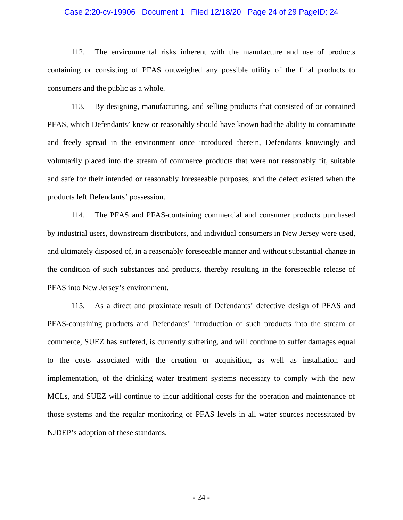## Case 2:20-cv-19906 Document 1 Filed 12/18/20 Page 24 of 29 PageID: 24

112. The environmental risks inherent with the manufacture and use of products containing or consisting of PFAS outweighed any possible utility of the final products to consumers and the public as a whole.

113. By designing, manufacturing, and selling products that consisted of or contained PFAS, which Defendants' knew or reasonably should have known had the ability to contaminate and freely spread in the environment once introduced therein, Defendants knowingly and voluntarily placed into the stream of commerce products that were not reasonably fit, suitable and safe for their intended or reasonably foreseeable purposes, and the defect existed when the products left Defendants' possession.

114. The PFAS and PFAS-containing commercial and consumer products purchased by industrial users, downstream distributors, and individual consumers in New Jersey were used, and ultimately disposed of, in a reasonably foreseeable manner and without substantial change in the condition of such substances and products, thereby resulting in the foreseeable release of PFAS into New Jersey's environment.

115. As a direct and proximate result of Defendants' defective design of PFAS and PFAS-containing products and Defendants' introduction of such products into the stream of commerce, SUEZ has suffered, is currently suffering, and will continue to suffer damages equal to the costs associated with the creation or acquisition, as well as installation and implementation, of the drinking water treatment systems necessary to comply with the new MCLs, and SUEZ will continue to incur additional costs for the operation and maintenance of those systems and the regular monitoring of PFAS levels in all water sources necessitated by NJDEP's adoption of these standards.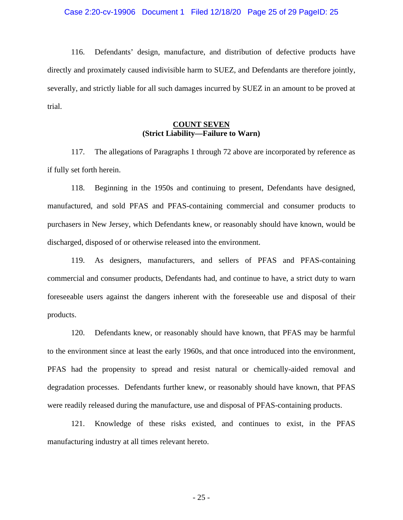## Case 2:20-cv-19906 Document 1 Filed 12/18/20 Page 25 of 29 PageID: 25

116. Defendants' design, manufacture, and distribution of defective products have directly and proximately caused indivisible harm to SUEZ, and Defendants are therefore jointly, severally, and strictly liable for all such damages incurred by SUEZ in an amount to be proved at trial.

# **COUNT SEVEN (Strict Liability—Failure to Warn)**

117. The allegations of Paragraphs 1 through 72 above are incorporated by reference as if fully set forth herein.

118. Beginning in the 1950s and continuing to present, Defendants have designed, manufactured, and sold PFAS and PFAS-containing commercial and consumer products to purchasers in New Jersey, which Defendants knew, or reasonably should have known, would be discharged, disposed of or otherwise released into the environment.

119. As designers, manufacturers, and sellers of PFAS and PFAS-containing commercial and consumer products, Defendants had, and continue to have, a strict duty to warn foreseeable users against the dangers inherent with the foreseeable use and disposal of their products.

120. Defendants knew, or reasonably should have known, that PFAS may be harmful to the environment since at least the early 1960s, and that once introduced into the environment, PFAS had the propensity to spread and resist natural or chemically-aided removal and degradation processes. Defendants further knew, or reasonably should have known, that PFAS were readily released during the manufacture, use and disposal of PFAS-containing products.

121. Knowledge of these risks existed, and continues to exist, in the PFAS manufacturing industry at all times relevant hereto.

- 25 -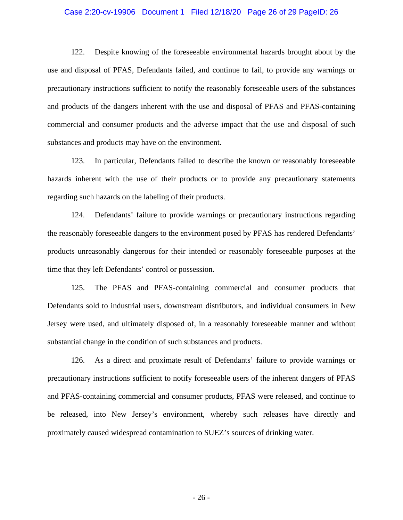### Case 2:20-cv-19906 Document 1 Filed 12/18/20 Page 26 of 29 PageID: 26

122. Despite knowing of the foreseeable environmental hazards brought about by the use and disposal of PFAS, Defendants failed, and continue to fail, to provide any warnings or precautionary instructions sufficient to notify the reasonably foreseeable users of the substances and products of the dangers inherent with the use and disposal of PFAS and PFAS-containing commercial and consumer products and the adverse impact that the use and disposal of such substances and products may have on the environment.

123. In particular, Defendants failed to describe the known or reasonably foreseeable hazards inherent with the use of their products or to provide any precautionary statements regarding such hazards on the labeling of their products.

124. Defendants' failure to provide warnings or precautionary instructions regarding the reasonably foreseeable dangers to the environment posed by PFAS has rendered Defendants' products unreasonably dangerous for their intended or reasonably foreseeable purposes at the time that they left Defendants' control or possession.

125. The PFAS and PFAS-containing commercial and consumer products that Defendants sold to industrial users, downstream distributors, and individual consumers in New Jersey were used, and ultimately disposed of, in a reasonably foreseeable manner and without substantial change in the condition of such substances and products.

126. As a direct and proximate result of Defendants' failure to provide warnings or precautionary instructions sufficient to notify foreseeable users of the inherent dangers of PFAS and PFAS-containing commercial and consumer products, PFAS were released, and continue to be released, into New Jersey's environment, whereby such releases have directly and proximately caused widespread contamination to SUEZ's sources of drinking water.

- 26 -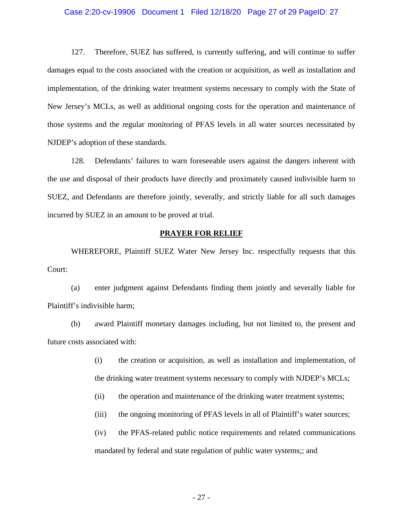## Case 2:20-cv-19906 Document 1 Filed 12/18/20 Page 27 of 29 PageID: 27

127. Therefore, SUEZ has suffered, is currently suffering, and will continue to suffer damages equal to the costs associated with the creation or acquisition, as well as installation and implementation, of the drinking water treatment systems necessary to comply with the State of New Jersey's MCLs, as well as additional ongoing costs for the operation and maintenance of those systems and the regular monitoring of PFAS levels in all water sources necessitated by NJDEP's adoption of these standards.

128. Defendants' failures to warn foreseeable users against the dangers inherent with the use and disposal of their products have directly and proximately caused indivisible harm to SUEZ, and Defendants are therefore jointly, severally, and strictly liable for all such damages incurred by SUEZ in an amount to be proved at trial.

## **PRAYER FOR RELIEF**

WHEREFORE, Plaintiff SUEZ Water New Jersey Inc. respectfully requests that this Court:

(a) enter judgment against Defendants finding them jointly and severally liable for Plaintiff's indivisible harm;

(b) award Plaintiff monetary damages including, but not limited to, the present and future costs associated with:

- (i) the creation or acquisition, as well as installation and implementation, of the drinking water treatment systems necessary to comply with NJDEP's MCLs;
- (ii) the operation and maintenance of the drinking water treatment systems;
- (iii) the ongoing monitoring of PFAS levels in all of Plaintiff's water sources;

(iv) the PFAS-related public notice requirements and related communications mandated by federal and state regulation of public water systems;; and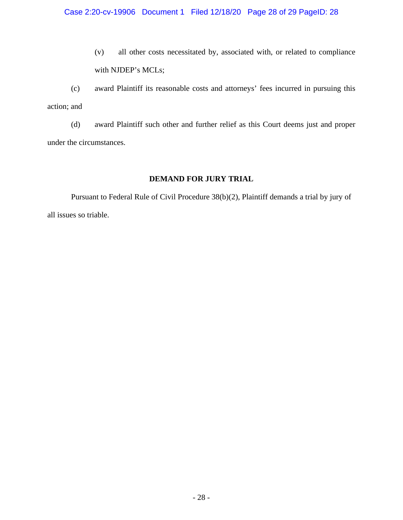(v) all other costs necessitated by, associated with, or related to compliance with NJDEP's MCLs;

(c) award Plaintiff its reasonable costs and attorneys' fees incurred in pursuing this action; and

(d) award Plaintiff such other and further relief as this Court deems just and proper under the circumstances.

# **DEMAND FOR JURY TRIAL**

Pursuant to Federal Rule of Civil Procedure 38(b)(2), Plaintiff demands a trial by jury of all issues so triable.